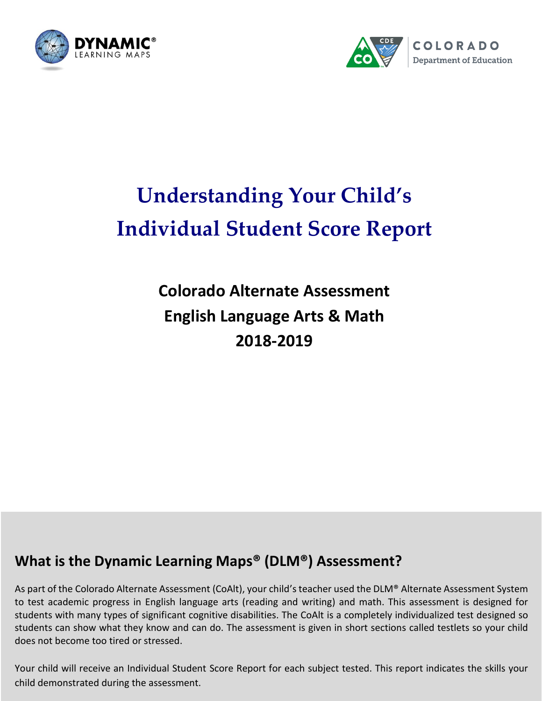



# **Understanding Your Child's Individual Student Score Report**

## **Colorado Alternate Assessment English Language Arts & Math 2018-2019**

## **What is the Dynamic Learning Maps® (DLM®) Assessment?**

As part of the Colorado Alternate Assessment (CoAlt), your child's teacher used the DLM® Alternate Assessment System to test academic progress in English language arts (reading and writing) and math. This assessment is designed for students with many types of significant cognitive disabilities. The CoAlt is a completely individualized test designed so students can show what they know and can do. The assessment is given in short sections called testlets so your child does not become too tired or stressed.

Your child will receive an Individual Student Score Report for each subject tested. This report indicates the skills your child demonstrated during the assessment.